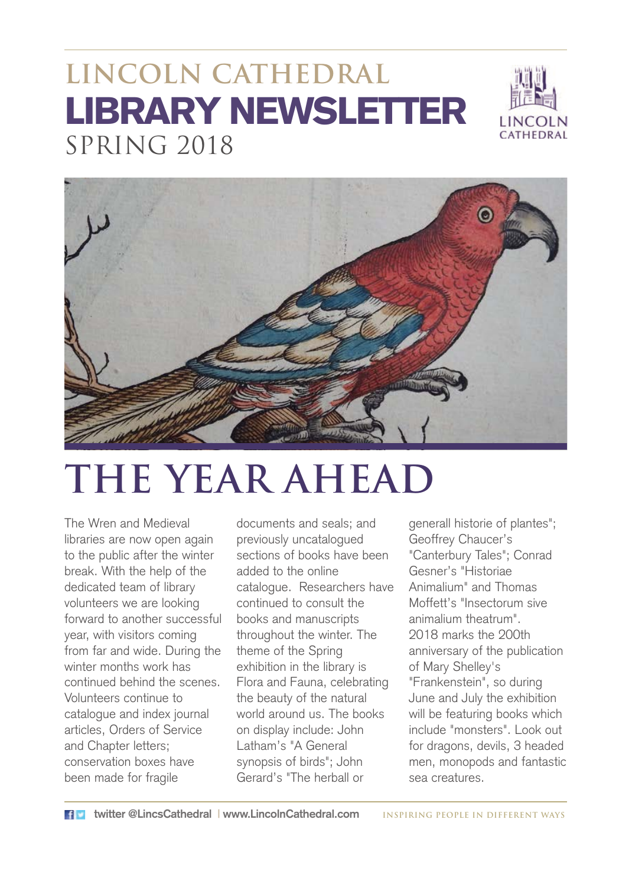### **LINCOLN CATHEDRAL** LIBRARY NEWSLETTER SPRING 2018





# **THE YEAR AHEAD**

The Wren and Medieval libraries are now open again to the public after the winter break. With the help of the dedicated team of library volunteers we are looking forward to another successful year, with visitors coming from far and wide. During the winter months work has continued behind the scenes. Volunteers continue to catalogue and index journal articles, Orders of Service and Chapter letters; conservation boxes have been made for fragile

documents and seals; and previously uncatalogued sections of books have been added to the online catalogue. Researchers have continued to consult the books and manuscripts throughout the winter. The theme of the Spring exhibition in the library is Flora and Fauna, celebrating the beauty of the natural world around us. The books on display include: John Latham's "A General synopsis of birds"; John Gerard's "The herball or

generall historie of plantes"; Geoffrey Chaucer's "Canterbury Tales"; Conrad Gesner's "Historiae Animalium" and Thomas Moffett's "Insectorum sive animalium theatrum". 2018 marks the 200th anniversary of the publication of Mary Shelley's "Frankenstein", so during June and July the exhibition will be featuring books which include "monsters". Look out for dragons, devils, 3 headed men, monopods and fantastic sea creatures.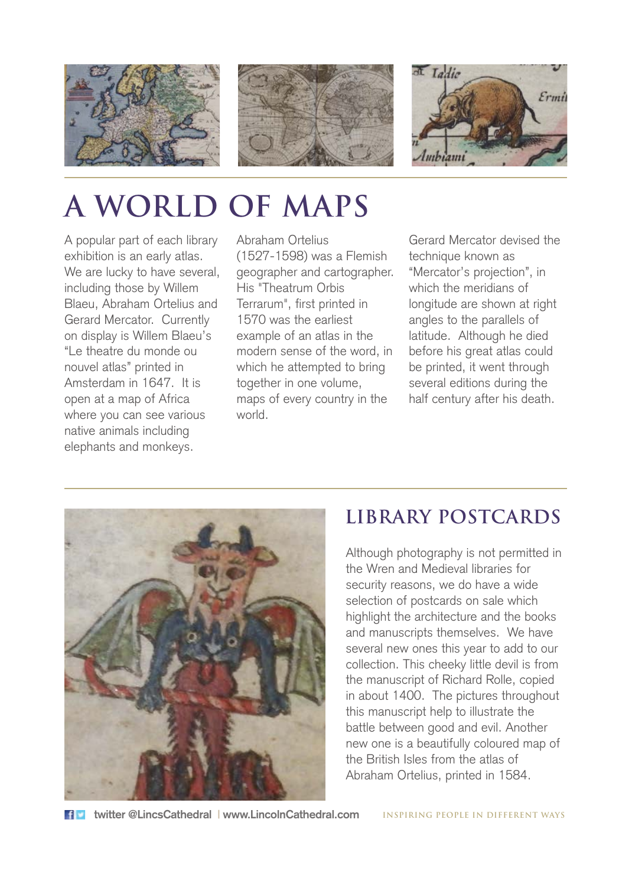





# **A WORLD OF MAPS**

A popular part of each library exhibition is an early atlas. We are lucky to have several, including those by Willem Blaeu, Abraham Ortelius and Gerard Mercator. Currently on display is Willem Blaeu's "Le theatre du monde ou nouvel atlas" printed in Amsterdam in 1647. It is open at a map of Africa where you can see various native animals including elephants and monkeys.

Abraham Ortelius (1527-1598) was a Flemish geographer and cartographer. His "Theatrum Orbis Terrarum", first printed in 1570 was the earliest example of an atlas in the modern sense of the word, in which he attempted to bring together in one volume, maps of every country in the world.

Gerard Mercator devised the technique known as "Mercator's projection", in which the meridians of longitude are shown at right angles to the parallels of latitude. Although he died before his great atlas could be printed, it went through several editions during the half century after his death.



#### **LIBRARY POSTCARDS**

Although photography is not permitted in the Wren and Medieval libraries for security reasons, we do have a wide selection of postcards on sale which highlight the architecture and the books and manuscripts themselves. We have several new ones this year to add to our collection. This cheeky little devil is from the manuscript of Richard Rolle, copied in about 1400. The pictures throughout this manuscript help to illustrate the battle between good and evil. Another new one is a beautifully coloured map of the British Isles from the atlas of Abraham Ortelius, printed in 1584.

**twitter @LincsCathedral | www.LincolnCathedral.com INSPIRING PEOPLE IN DIFFERENT WAYS**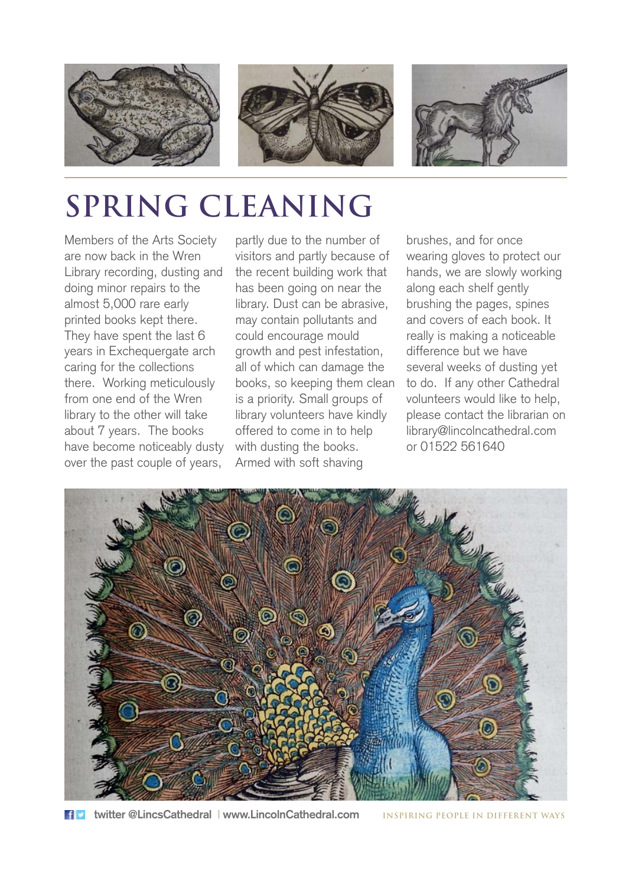

### **SPRING CLEANING**

Members of the Arts Society are now back in the Wren Library recording, dusting and doing minor repairs to the almost 5,000 rare early printed books kept there. They have spent the last 6 years in Exchequergate arch caring for the collections there. Working meticulously from one end of the Wren library to the other will take about 7 years. The books have become noticeably dusty over the past couple of years,

partly due to the number of visitors and partly because of the recent building work that has been going on near the library. Dust can be abrasive, may contain pollutants and could encourage mould growth and pest infestation, all of which can damage the books, so keeping them clean is a priority. Small groups of library volunteers have kindly offered to come in to help with dusting the books. Armed with soft shaving

brushes, and for once wearing gloves to protect our hands, we are slowly working along each shelf gently brushing the pages, spines and covers of each book. It really is making a noticeable difference but we have several weeks of dusting yet to do. If any other Cathedral volunteers would like to help, please contact the librarian on library@lincolncathedral.com or 01522 561640



**twitter @LincsCathedral | www.LincolnCathedral.com INSPIRING PEOPLE IN DIFFERENT WAYS**